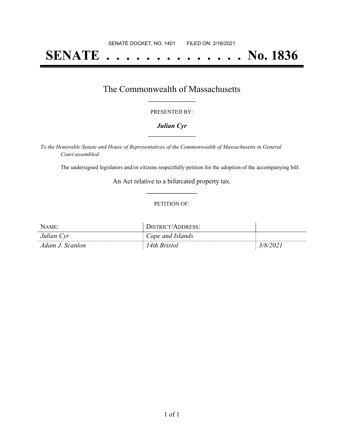# **SENATE . . . . . . . . . . . . . . No. 1836**

### The Commonwealth of Massachusetts **\_\_\_\_\_\_\_\_\_\_\_\_\_\_\_\_\_**

#### PRESENTED BY:

#### *Julian Cyr* **\_\_\_\_\_\_\_\_\_\_\_\_\_\_\_\_\_**

*To the Honorable Senate and House of Representatives of the Commonwealth of Massachusetts in General Court assembled:*

The undersigned legislators and/or citizens respectfully petition for the adoption of the accompanying bill:

An Act relative to a bifurcated property tax. **\_\_\_\_\_\_\_\_\_\_\_\_\_\_\_**

#### PETITION OF:

| NAME:           | STRICT/ADDRESS:  |         |
|-----------------|------------------|---------|
| Julian Cyr      | Cape and Islands |         |
| Adam J. Scanlon | 4th Bristol      | 3/8/202 |